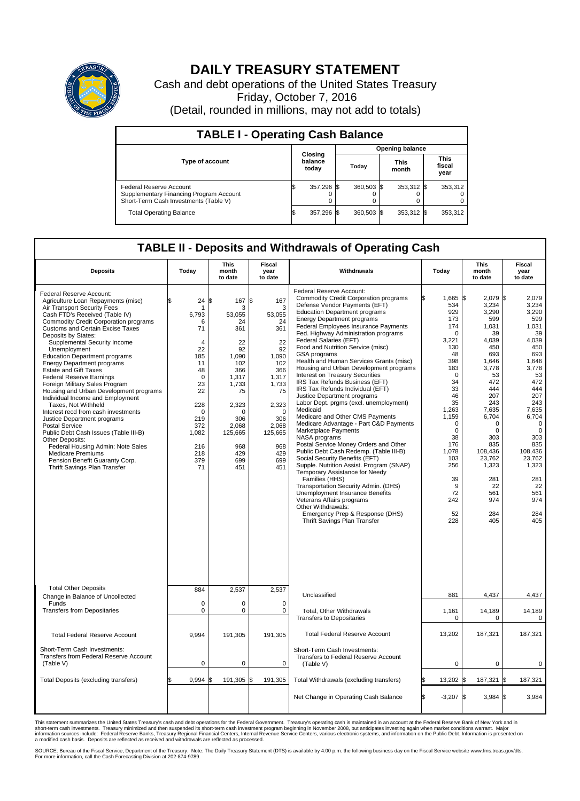

## **DAILY TREASURY STATEMENT**

Cash and debt operations of the United States Treasury Friday, October 7, 2016 (Detail, rounded in millions, may not add to totals)

| <b>TABLE I - Operating Cash Balance</b>                                                                     |     |                             |                        |              |  |                      |  |                               |  |
|-------------------------------------------------------------------------------------------------------------|-----|-----------------------------|------------------------|--------------|--|----------------------|--|-------------------------------|--|
|                                                                                                             |     |                             | <b>Opening balance</b> |              |  |                      |  |                               |  |
| <b>Type of account</b>                                                                                      |     | Closing<br>balance<br>today |                        | Today        |  | <b>This</b><br>month |  | <b>This</b><br>fiscal<br>year |  |
| Federal Reserve Account<br>Supplementary Financing Program Account<br>Short-Term Cash Investments (Table V) |     | 357,296 \$                  |                        | $360.503$ \$ |  | 353,312 \$           |  | 353,312                       |  |
| <b>Total Operating Balance</b>                                                                              | I\$ | 357,296 \$                  |                        | 360,503 \$   |  | 353,312 \$           |  | 353,312                       |  |

## **TABLE II - Deposits and Withdrawals of Operating Cash**

| <b>Deposits</b>                                                                                                                                                                                                                                                                                                                                                                                                                                                                                                                                                                                                                                                                                                                                                                                                                                                                        | Today                                                                                                                                                          | <b>This</b><br>month<br>to date                                                                                                                                         | <b>Fiscal</b><br>year<br>to date                                                                                                                                          | Withdrawals                                                                                                                                                                                                                                                                                                                                                                                                                                                                                                                                                                                                                                                                                                                                                                                                                                                                                                                                                                                                                                                                                                                                                                                 | Today                                                                                                                                                                                                                                        | <b>This</b><br>month<br>to date                                                                                                                                                                                                                     | <b>Fiscal</b><br>year<br>to date                                                                                                                                                                                                                                 |
|----------------------------------------------------------------------------------------------------------------------------------------------------------------------------------------------------------------------------------------------------------------------------------------------------------------------------------------------------------------------------------------------------------------------------------------------------------------------------------------------------------------------------------------------------------------------------------------------------------------------------------------------------------------------------------------------------------------------------------------------------------------------------------------------------------------------------------------------------------------------------------------|----------------------------------------------------------------------------------------------------------------------------------------------------------------|-------------------------------------------------------------------------------------------------------------------------------------------------------------------------|---------------------------------------------------------------------------------------------------------------------------------------------------------------------------|---------------------------------------------------------------------------------------------------------------------------------------------------------------------------------------------------------------------------------------------------------------------------------------------------------------------------------------------------------------------------------------------------------------------------------------------------------------------------------------------------------------------------------------------------------------------------------------------------------------------------------------------------------------------------------------------------------------------------------------------------------------------------------------------------------------------------------------------------------------------------------------------------------------------------------------------------------------------------------------------------------------------------------------------------------------------------------------------------------------------------------------------------------------------------------------------|----------------------------------------------------------------------------------------------------------------------------------------------------------------------------------------------------------------------------------------------|-----------------------------------------------------------------------------------------------------------------------------------------------------------------------------------------------------------------------------------------------------|------------------------------------------------------------------------------------------------------------------------------------------------------------------------------------------------------------------------------------------------------------------|
| Federal Reserve Account:<br>Agriculture Loan Repayments (misc)<br>Air Transport Security Fees<br>Cash FTD's Received (Table IV)<br><b>Commodity Credit Corporation programs</b><br><b>Customs and Certain Excise Taxes</b><br>Deposits by States:<br>Supplemental Security Income<br>Unemployment<br><b>Education Department programs</b><br><b>Energy Department programs</b><br><b>Estate and Gift Taxes</b><br><b>Federal Reserve Earnings</b><br>Foreign Military Sales Program<br>Housing and Urban Development programs<br>Individual Income and Employment<br>Taxes. Not Withheld<br>Interest recd from cash investments<br>Justice Department programs<br><b>Postal Service</b><br>Public Debt Cash Issues (Table III-B)<br>Other Deposits:<br>Federal Housing Admin: Note Sales<br><b>Medicare Premiums</b><br>Pension Benefit Guaranty Corp.<br>Thrift Savings Plan Transfer | 24<br>\$.<br>6.793<br>6<br>71<br>$\overline{4}$<br>22<br>185<br>11<br>48<br>$\Omega$<br>23<br>22<br>228<br>0<br>219<br>372<br>1,082<br>216<br>218<br>379<br>71 | ß<br>167 \$<br>3<br>53,055<br>24<br>361<br>22<br>92<br>1,090<br>102<br>366<br>1,317<br>1,733<br>75<br>2,323<br>∩<br>306<br>2,068<br>125,665<br>968<br>429<br>699<br>451 | 167<br>3<br>53,055<br>24<br>361<br>22<br>92<br>1,090<br>102<br>366<br>1,317<br>1,733<br>75<br>2,323<br>$\mathbf 0$<br>306<br>2,068<br>125,665<br>968<br>429<br>699<br>451 | Federal Reserve Account:<br>Commodity Credit Corporation programs<br>Defense Vendor Payments (EFT)<br><b>Education Department programs</b><br><b>Energy Department programs</b><br><b>Federal Employees Insurance Payments</b><br>Fed. Highway Administration programs<br>Federal Salaries (EFT)<br>Food and Nutrition Service (misc)<br>GSA programs<br>Health and Human Services Grants (misc)<br>Housing and Urban Development programs<br>Interest on Treasury Securities<br>IRS Tax Refunds Business (EFT)<br>IRS Tax Refunds Individual (EFT)<br>Justice Department programs<br>Labor Dept. prgms (excl. unemployment)<br>Medicaid<br>Medicare and Other CMS Payments<br>Medicare Advantage - Part C&D Payments<br>Marketplace Payments<br>NASA programs<br>Postal Service Money Orders and Other<br>Public Debt Cash Redemp. (Table III-B)<br>Social Security Benefits (EFT)<br>Supple. Nutrition Assist. Program (SNAP)<br>Temporary Assistance for Needy<br>Families (HHS)<br>Transportation Security Admin. (DHS)<br><b>Unemployment Insurance Benefits</b><br>Veterans Affairs programs<br>Other Withdrawals:<br>Emergency Prep & Response (DHS)<br>Thrift Savings Plan Transfer | $1,665$ \$<br>534<br>929<br>173<br>174<br>$\mathbf 0$<br>3,221<br>130<br>48<br>398<br>183<br>$\Omega$<br>34<br>33<br>46<br>35<br>1,263<br>1.159<br>0<br>$\mathbf 0$<br>38<br>176<br>1,078<br>103<br>256<br>39<br>9<br>72<br>242<br>52<br>228 | 2,079 \$<br>3,234<br>3,290<br>599<br>1,031<br>39<br>4,039<br>450<br>693<br>1,646<br>3,778<br>53<br>472<br>444<br>207<br>243<br>7.635<br>6,704<br>$\Omega$<br>0<br>303<br>835<br>108,436<br>23,762<br>1,323<br>281<br>22<br>561<br>974<br>284<br>405 | 2,079<br>3,234<br>3,290<br>599<br>1,031<br>39<br>4,039<br>450<br>693<br>1,646<br>3,778<br>53<br>472<br>444<br>207<br>243<br>7,635<br>6,704<br>$\overline{0}$<br>$\mathbf 0$<br>303<br>835<br>108,436<br>23,762<br>1,323<br>281<br>22<br>561<br>974<br>284<br>405 |
| <b>Total Other Deposits</b><br>Change in Balance of Uncollected<br>Funds                                                                                                                                                                                                                                                                                                                                                                                                                                                                                                                                                                                                                                                                                                                                                                                                               | 884<br>$\mathbf 0$                                                                                                                                             | 2,537<br>0                                                                                                                                                              | 2,537<br>$\mathbf 0$                                                                                                                                                      | Unclassified                                                                                                                                                                                                                                                                                                                                                                                                                                                                                                                                                                                                                                                                                                                                                                                                                                                                                                                                                                                                                                                                                                                                                                                | 881                                                                                                                                                                                                                                          | 4,437                                                                                                                                                                                                                                               | 4,437                                                                                                                                                                                                                                                            |
| <b>Transfers from Depositaries</b>                                                                                                                                                                                                                                                                                                                                                                                                                                                                                                                                                                                                                                                                                                                                                                                                                                                     | $\mathbf 0$                                                                                                                                                    | 0                                                                                                                                                                       | $\mathbf 0$                                                                                                                                                               | Total, Other Withdrawals<br><b>Transfers to Depositaries</b>                                                                                                                                                                                                                                                                                                                                                                                                                                                                                                                                                                                                                                                                                                                                                                                                                                                                                                                                                                                                                                                                                                                                | 1,161<br>0                                                                                                                                                                                                                                   | 14,189<br>0                                                                                                                                                                                                                                         | 14,189<br>$\mathbf 0$                                                                                                                                                                                                                                            |
| <b>Total Federal Reserve Account</b>                                                                                                                                                                                                                                                                                                                                                                                                                                                                                                                                                                                                                                                                                                                                                                                                                                                   | 9.994                                                                                                                                                          | 191,305                                                                                                                                                                 | 191,305                                                                                                                                                                   | <b>Total Federal Reserve Account</b>                                                                                                                                                                                                                                                                                                                                                                                                                                                                                                                                                                                                                                                                                                                                                                                                                                                                                                                                                                                                                                                                                                                                                        | 13,202                                                                                                                                                                                                                                       | 187,321                                                                                                                                                                                                                                             | 187,321                                                                                                                                                                                                                                                          |
| Short-Term Cash Investments:<br>Transfers from Federal Reserve Account<br>(Table V)                                                                                                                                                                                                                                                                                                                                                                                                                                                                                                                                                                                                                                                                                                                                                                                                    | $\mathbf 0$                                                                                                                                                    | 0                                                                                                                                                                       | $\mathbf 0$                                                                                                                                                               | Short-Term Cash Investments:<br>Transfers to Federal Reserve Account<br>(Table V)                                                                                                                                                                                                                                                                                                                                                                                                                                                                                                                                                                                                                                                                                                                                                                                                                                                                                                                                                                                                                                                                                                           | $\Omega$                                                                                                                                                                                                                                     | $\mathbf 0$                                                                                                                                                                                                                                         | $\mathbf 0$                                                                                                                                                                                                                                                      |
| Total Deposits (excluding transfers)                                                                                                                                                                                                                                                                                                                                                                                                                                                                                                                                                                                                                                                                                                                                                                                                                                                   | 9,994                                                                                                                                                          | \$<br>191,305 \$                                                                                                                                                        | 191,305                                                                                                                                                                   | Total Withdrawals (excluding transfers)                                                                                                                                                                                                                                                                                                                                                                                                                                                                                                                                                                                                                                                                                                                                                                                                                                                                                                                                                                                                                                                                                                                                                     | 13,202 \$<br>\$                                                                                                                                                                                                                              | 187,321                                                                                                                                                                                                                                             | 1\$<br>187,321                                                                                                                                                                                                                                                   |
|                                                                                                                                                                                                                                                                                                                                                                                                                                                                                                                                                                                                                                                                                                                                                                                                                                                                                        |                                                                                                                                                                |                                                                                                                                                                         |                                                                                                                                                                           | Net Change in Operating Cash Balance                                                                                                                                                                                                                                                                                                                                                                                                                                                                                                                                                                                                                                                                                                                                                                                                                                                                                                                                                                                                                                                                                                                                                        | Ŝ.<br>$-3,207$ \$                                                                                                                                                                                                                            | $3,984$ \$                                                                                                                                                                                                                                          | 3.984                                                                                                                                                                                                                                                            |

This statement summarizes the United States Treasury's cash and debt operations for the Federal Government. Treasury's operating cash is maintained in an account at the Federal Reserve Bank of New York and in<br>short-term ca

SOURCE: Bureau of the Fiscal Service, Department of the Treasury. Note: The Daily Treasury Statement (DTS) is available by 4:00 p.m. the following business day on the Fiscal Service website www.fms.treas.gov/dts.<br>For more